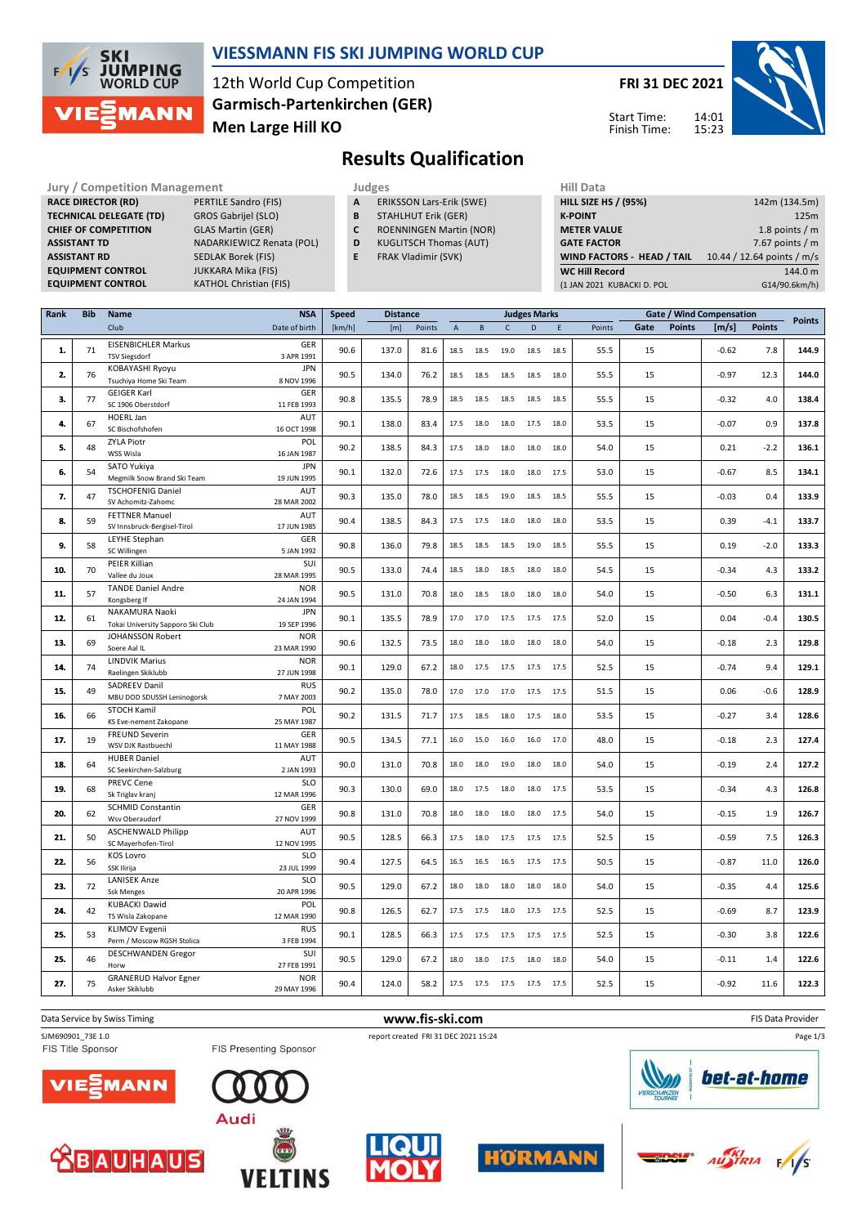

### **VIESSMANN FIS SKI JUMPING WORLD CUP**

12th World Cup Competition **Men Large Hill KO Garmisch-Partenkirchen (GER)**

**KATHOL Christian (FIS)** 

**FRI 31 DEC 2021**

Start Time: Finish Time:



**Results Qualification**

**Jury / Competition Management Judges Hill Data**<br> **RACE DIRECTOR (RD)** PERTILE Sandro (FIS) **A** ERIKSSON Lars-Erik (SWE) **HILL SIZE H RACE DIRECTOR (RD) TECHNICAL DELEGATE (TD)** GROS Gabrijel (SLO) **CHIEF OF COMPETITION** GLAS Martin (GER) **ASSISTANT TD** NADARKIEWICZ Renata (POL) **ASSISTANT RD** SEDLAK Borek (FIS)<br>**EQUIPMENT CONTROL** JUKKARA Mika (FIS) **EQUIPMENT CONTROL**<br>**EQUIPMENT CONTROL** 

- **A** ERIKSSON Lars-Erik (SWE)
- **B** STAHLHUT Erik (GER)
- **C** ROENNINGEN Martin (NOR)
- **D** KUGLITSCH Thomas (AUT)
- **E** FRAK Vladimir (SVK)

| <b>HILL SIZE HS / (95%)</b>       | 142m (134.5m)              |
|-----------------------------------|----------------------------|
| <b>K-POINT</b>                    | 125m                       |
| <b>METER VALUE</b>                | 1.8 points $/m$            |
| <b>GATE FACTOR</b>                | 7.67 points $/m$           |
| <b>WIND FACTORS - HEAD / TAIL</b> | 10.44 / 12.64 points / m/s |
| <b>WC Hill Record</b>             | 144.0 m                    |
| (1 JAN 2021 KUBACKI D. POL        | G14/90.6km/h)              |
|                                   |                            |

| Rank | <b>Bib</b> | Name                                                 | <b>NSA</b>                | <b>Speed</b><br><b>Distance</b> |       |        | <b>Judges Marks</b> |          |              |      |      |        |      |               |         | Gate / Wind Compensation |               |
|------|------------|------------------------------------------------------|---------------------------|---------------------------------|-------|--------|---------------------|----------|--------------|------|------|--------|------|---------------|---------|--------------------------|---------------|
|      |            | Club                                                 | Date of birth             | [km/h]                          | [m]   | Points | $\overline{A}$      | $\sf{B}$ | $\mathsf{C}$ | D    | E    | Points | Gate | <b>Points</b> | [m/s]   | <b>Points</b>            | <b>Points</b> |
| 1.   | 71         | <b>EISENBICHLER Markus</b><br><b>TSV Siegsdorf</b>   | GER<br>3 APR 1991         | 90.6                            | 137.0 | 81.6   | 18.5                | 18.5     | 19.0         | 18.5 | 18.5 | 55.5   | 15   |               | $-0.62$ | 7.8                      | 144.9         |
| 2.   | 76         | KOBAYASHI Ryoyu<br>Tsuchiya Home Ski Team            | <b>JPN</b><br>8 NOV 1996  | 90.5                            | 134.0 | 76.2   | 18.5                | 18.5     | 18.5         | 18.5 | 18.0 | 55.5   | 15   |               | $-0.97$ | 12.3                     | 144.0         |
|      |            | <b>GEIGER Karl</b>                                   | GER                       |                                 |       |        |                     |          |              |      |      |        |      |               |         |                          |               |
| 3.   | 77         | SC 1906 Oberstdorf                                   | 11 FEB 1993               | 90.8                            | 135.5 | 78.9   | 18.5                | 18.5     | 18.5         | 18.5 | 18.5 | 55.5   | 15   |               | $-0.32$ | 4.0                      | 138.4         |
| 4.   | 67         | HOERL Jan<br>SC Bischofshofen                        | AUT<br>16 OCT 1998        | 90.1                            | 138.0 | 83.4   | 17.5                | 18.0     | 18.0         | 17.5 | 18.0 | 53.5   | 15   |               | $-0.07$ | 0.9                      | 137.8         |
| 5.   | 48         | <b>ZYLA Piotr</b><br>WSS Wisla                       | POL<br>16 JAN 1987        | 90.2                            | 138.5 | 84.3   | 17.5                | 18.0     | 18.0         | 18.0 | 18.0 | 54.0   | 15   |               | 0.21    | $-2.2$                   | 136.1         |
| 6.   | 54         | SATO Yukiya<br>Megmilk Snow Brand Ski Team           | <b>JPN</b><br>19 JUN 1995 | 90.1                            | 132.0 | 72.6   | 17.5                | 17.5     | 18.0         | 18.0 | 17.5 | 53.0   | 15   |               | $-0.67$ | 8.5                      | 134.1         |
| 7.   | 47         | <b>TSCHOFENIG Daniel</b><br>SV Achomitz-Zahomc       | AUT<br>28 MAR 2002        | 90.3                            | 135.0 | 78.0   | 18.5                | 18.5     | 19.0         | 18.5 | 18.5 | 55.5   | 15   |               | $-0.03$ | 0.4                      | 133.9         |
| 8.   | 59         | <b>FETTNER Manuel</b><br>SV Innsbruck-Bergisel-Tirol | <b>AUT</b><br>17 JUN 1985 | 90.4                            | 138.5 | 84.3   | 17.5                | 17.5     | 18.0         | 18.0 | 18.0 | 53.5   | 15   |               | 0.39    | $-4.1$                   | 133.7         |
|      |            | LEYHE Stephan                                        | GER                       |                                 |       |        |                     |          |              |      |      |        |      |               |         |                          |               |
| 9.   | 58         | SC Willingen                                         | 5 JAN 1992                | 90.8                            | 136.0 | 79.8   | 18.5                | 18.5     | 18.5         | 19.0 | 18.5 | 55.5   | 15   |               | 0.19    | $-2.0$                   | 133.3         |
| 10.  | 70         | PEIER Killian<br>Vallee du Joux                      | SUI<br>28 MAR 1995        | 90.5                            | 133.0 | 74.4   | 18.5                | 18.0     | 18.5         | 18.0 | 18.0 | 54.5   | 15   |               | $-0.34$ | 4.3                      | 133.2         |
| 11.  | 57         | <b>TANDE Daniel Andre</b><br>Kongsberg If            | <b>NOR</b><br>24 JAN 1994 | 90.5                            | 131.0 | 70.8   | 18.0                | 18.5     | 18.0         | 18.0 | 18.0 | 54.0   | 15   |               | $-0.50$ | 6.3                      | 131.1         |
| 12.  | 61         | NAKAMURA Naoki<br>Tokai University Sapporo Ski Club  | <b>JPN</b><br>19 SEP 1996 | 90.1                            | 135.5 | 78.9   | 17.0                | 17.0     | 17.5         | 17.5 | 17.5 | 52.0   | 15   |               | 0.04    | $-0.4$                   | 130.5         |
| 13.  | 69         | JOHANSSON Robert<br>Soere Aal IL                     | <b>NOR</b><br>23 MAR 1990 | 90.6                            | 132.5 | 73.5   | 18.0                | 18.0     | 18.0         | 18.0 | 18.0 | 54.0   | 15   |               | $-0.18$ | 2.3                      | 129.8         |
| 14.  | 74         | <b>LINDVIK Marius</b><br>Raelingen Skiklubb          | <b>NOR</b><br>27 JUN 1998 | 90.1                            | 129.0 | 67.2   | 18.0                | 17.5     | 17.5         | 17.5 | 17.5 | 52.5   | 15   |               | $-0.74$ | 9.4                      | 129.1         |
| 15.  | 49         | SADREEV Danil<br>MBU DOD SDUSSH Leninogorsk          | <b>RUS</b><br>7 MAY 2003  | 90.2                            | 135.0 | 78.0   | 17.0                | 17.0     | 17.0         | 17.5 | 17.5 | 51.5   | 15   |               | 0.06    | $-0.6$                   | 128.9         |
| 16.  | 66         | STOCH Kamil<br>KS Eve-nement Zakopane                | POL<br>25 MAY 1987        | 90.2                            | 131.5 | 71.7   | 17.5                | 18.5     | 18.0         | 17.5 | 18.0 | 53.5   | 15   |               | $-0.27$ | 3.4                      | 128.6         |
| 17.  | 19         | <b>FREUND Severin</b><br>WSV DJK Rastbuechl          | GER<br>11 MAY 1988        | 90.5                            | 134.5 | 77.1   | 16.0                | 15.0     | 16.0         | 16.0 | 17.0 | 48.0   | 15   |               | $-0.18$ | 2.3                      | 127.4         |
| 18.  | 64         | <b>HUBER Daniel</b><br>SC Seekirchen-Salzburg        | AUT<br>2 JAN 1993         | 90.0                            | 131.0 | 70.8   | 18.0                | 18.0     | 19.0         | 18.0 | 18.0 | 54.0   | 15   |               | $-0.19$ | 2.4                      | 127.2         |
| 19.  | 68         | PREVC Cene<br>Sk Triglav kranj                       | <b>SLO</b><br>12 MAR 1996 | 90.3                            | 130.0 | 69.0   | 18.0                | 17.5     | 18.0         | 18.0 | 17.5 | 53.5   | 15   |               | $-0.34$ | 4.3                      | 126.8         |
| 20.  | 62         | <b>SCHMID Constantin</b>                             | GER<br>27 NOV 1999        | 90.8                            | 131.0 | 70.8   | 18.0                | 18.0     | 18.0         | 18.0 | 17.5 | 54.0   | 15   |               | $-0.15$ | 1.9                      | 126.7         |
| 21.  | 50         | Wsv Oberaudorf<br><b>ASCHENWALD Philipp</b>          | AUT                       | 90.5                            | 128.5 | 66.3   | 17.5                | 18.0     | 17.5         | 17.5 | 17.5 | 52.5   | 15   |               | $-0.59$ | 7.5                      | 126.3         |
| 22.  | 56         | SC Mayerhofen-Tirol<br><b>KOS Lovro</b>              | 12 NOV 1995<br><b>SLO</b> | 90.4                            | 127.5 | 64.5   | 16.5                | 16.5     | 16.5         | 17.5 | 17.5 | 50.5   | 15   |               | $-0.87$ | 11.0                     | 126.0         |
|      |            | SSK Ilirija                                          | 23 JUL 1999               |                                 |       |        |                     |          |              |      |      |        |      |               |         |                          |               |
| 23.  | 72         | <b>LANISEK Anze</b><br><b>Ssk Menges</b>             | <b>SLO</b><br>20 APR 1996 | 90.5                            | 129.0 | 67.2   | 18.0                | 18.0     | 18.0         | 18.0 | 18.0 | 54.0   | 15   |               | $-0.35$ | 4.4                      | 125.6         |
| 24.  | 42         | <b>KUBACKI Dawid</b><br>TS Wisla Zakopane            | POL<br>12 MAR 1990        | 90.8                            | 126.5 | 62.7   | 17.5                | 17.5     | 18.0         | 17.5 | 17.5 | 52.5   | 15   |               | $-0.69$ | 8.7                      | 123.9         |
| 25.  | 53         | <b>KLIMOV Evgenii</b><br>Perm / Moscow RGSH Stolica  | <b>RUS</b><br>3 FEB 1994  | 90.1                            | 128.5 | 66.3   | 17.5                | 17.5     | 17.5         | 17.5 | 17.5 | 52.5   | 15   |               | $-0.30$ | 3.8                      | 122.6         |
| 25.  | 46         | DESCHWANDEN Gregor<br>Horw                           | SUI<br>27 FEB 1991        | 90.5                            | 129.0 | 67.2   | 18.0                | 18.0     | 17.5         | 18.0 | 18.0 | 54.0   | 15   |               | $-0.11$ | 1.4                      | 122.6         |
| 27.  | 75         | <b>GRANERUD Halvor Egner</b><br>Asker Skiklubb       | <b>NOR</b><br>29 MAY 1996 | 90.4                            | 124.0 | 58.2   | 17.5                | 17.5     | 17.5         | 17.5 | 17.5 | 52.5   | 15   |               | $-0.92$ | 11.6                     | 122.3         |
|      |            |                                                      |                           |                                 |       |        |                     |          |              |      |      |        |      |               |         |                          |               |

Data Service by Swiss Timing **WWW.fis-Ski.com www.fis-ski.com WWW.fis-Ski.com FIS Data Provider** 

FIS Title Sponsor

SJM690901\_73E 1.0 report created FRI 31 DEC 2021 15:24 FIS Presenting Sponsor





**VELTINS** 







bet-at-home

Page 1/3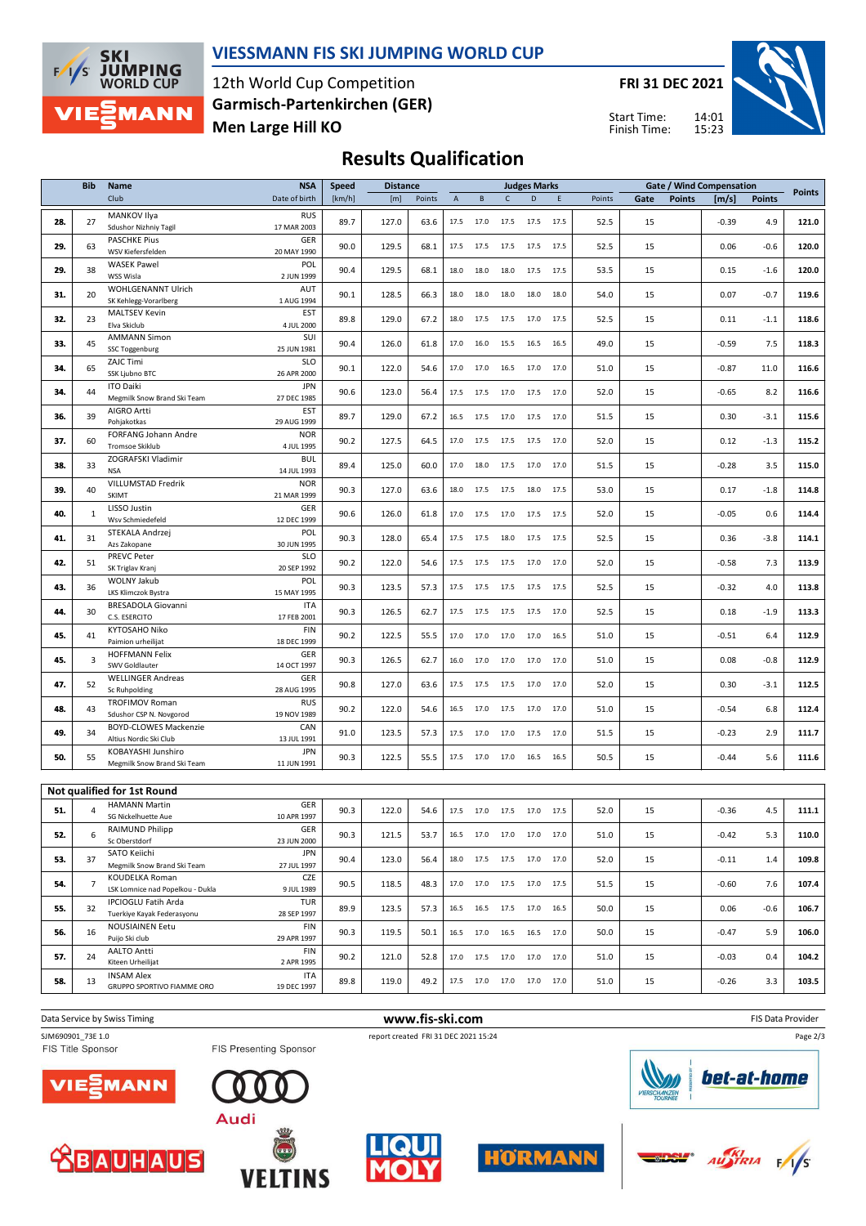

#### **VIESSMANN FIS SKI JUMPING WORLD CUP**

12th World Cup Competition **Men Large Hill KO Garmisch-Partenkirchen (GER)** **FRI 31 DEC 2021**

14:01 15:23 Start Time: Finish Time:



# **Results Qualification**

|     | <b>Bib</b>     | Name                                                    | <b>NSA</b>                              | <b>Speed</b> |       | <b>Distance</b><br><b>Judges Marks</b> |                |                                                        |              |      |      |        |      | <b>Gate / Wind Compensation</b> |         |               |               |
|-----|----------------|---------------------------------------------------------|-----------------------------------------|--------------|-------|----------------------------------------|----------------|--------------------------------------------------------|--------------|------|------|--------|------|---------------------------------|---------|---------------|---------------|
|     |                | Club                                                    | Date of birth                           | [km/h]       | [m]   | Points                                 | $\overline{A}$ | $\,$ B                                                 | $\mathsf{C}$ | D    | E    | Points | Gate | <b>Points</b>                   | [m/s]   | <b>Points</b> | <b>Points</b> |
| 28. | 27             | MANKOV Ilya<br>Sdushor Nizhniy Tagil                    | <b>RUS</b><br>17 MAR 2003               | 89.7         | 127.0 | 63.6                                   | 17.5           | 17.0                                                   | 17.5         | 17.5 | 17.5 | 52.5   | 15   |                                 | $-0.39$ | 4.9           | 121.0         |
| 29. | 63             | <b>PASCHKE Pius</b><br>WSV Kiefersfelden                | GER<br>20 MAY 1990                      | 90.0         | 129.5 | 68.1                                   | 17.5           | 17.5                                                   | 17.5         | 17.5 | 17.5 | 52.5   | 15   |                                 | 0.06    | $-0.6$        | 120.0         |
| 29. | 38             | <b>WASEK Pawel</b><br>WSS Wisla                         | POL<br>2 JUN 1999                       | 90.4         | 129.5 | 68.1                                   | 18.0           | 18.0                                                   | 18.0         | 17.5 | 17.5 | 53.5   | 15   |                                 | 0.15    | $-1.6$        | 120.0         |
| 31. | 20             | WOHLGENANNT Ulrich<br>SK Kehlegg-Vorarlberg             | AUT<br>1 AUG 1994                       | 90.1         | 128.5 | 66.3                                   | 18.0           | 18.0                                                   | 18.0         | 18.0 | 18.0 | 54.0   | 15   |                                 | 0.07    | $-0.7$        | 119.6         |
| 32. | 23             | MALTSEV Kevin<br>Elva Skiclub                           | <b>EST</b><br>4 JUL 2000                | 89.8         | 129.0 | 67.2                                   | 18.0           | 17.5                                                   | 17.5         | 17.0 | 17.5 | 52.5   | 15   |                                 | 0.11    | $-1.1$        | 118.6         |
| 33. | 45             | <b>AMMANN Simon</b><br>SSC Toggenburg                   | SUI<br>25 JUN 1981                      | 90.4         | 126.0 | 61.8                                   | 17.0           | 16.0                                                   | 15.5         | 16.5 | 16.5 | 49.0   | 15   |                                 | $-0.59$ | 7.5           | 118.3         |
| 34. | 65             | ZAJC Timi<br>SSK Ljubno BTC                             | <b>SLO</b><br>26 APR 2000               | 90.1         | 122.0 | 54.6                                   | 17.0           | 17.0                                                   | 16.5         | 17.0 | 17.0 | 51.0   | 15   |                                 | $-0.87$ | 11.0          | 116.6         |
| 34. | 44             | <b>ITO Daiki</b><br>Megmilk Snow Brand Ski Team         | <b>JPN</b><br>27 DEC 1985               | 90.6         | 123.0 | 56.4                                   | 17.5           | 17.5                                                   | 17.0         | 17.5 | 17.0 | 52.0   | 15   |                                 | $-0.65$ | 8.2           | 116.6         |
| 36. | 39             | AIGRO Artti<br>Pohjakotkas                              | <b>EST</b><br>29 AUG 1999               | 89.7         | 129.0 | 67.2                                   | 16.5           | 17.5                                                   | 17.0         | 17.5 | 17.0 | 51.5   | 15   |                                 | 0.30    | $-3.1$        | 115.6         |
| 37. | 60             | FORFANG Johann Andre<br>Tromsoe Skiklub                 | <b>NOR</b><br>4 JUL 1995                | 90.2         | 127.5 | 64.5                                   | 17.0           | 17.5                                                   | 17.5         | 17.5 | 17.0 | 52.0   | 15   |                                 | 0.12    | $-1.3$        | 115.2         |
| 38. | 33             | ZOGRAFSKI Vladimir<br><b>NSA</b>                        | <b>BUL</b><br>14 JUL 1993               | 89.4         | 125.0 | 60.0                                   | 17.0           | 18.0                                                   | 17.5         | 17.0 | 17.0 | 51.5   | 15   |                                 | $-0.28$ | 3.5           | 115.0         |
| 39. | 40             | VILLUMSTAD Fredrik<br>SKIMT                             | <b>NOR</b><br>21 MAR 1999               | 90.3         | 127.0 | 63.6                                   | 18.0           | 17.5                                                   | 17.5         | 18.0 | 17.5 | 53.0   | 15   |                                 | 0.17    | $-1.8$        | 114.8         |
| 40. | 1              | LISSO Justin<br>Wsv Schmiedefeld                        | GER<br>12 DEC 1999                      | 90.6         | 126.0 | 61.8                                   | 17.0           | 17.5                                                   | 17.0         | 17.5 | 17.5 | 52.0   | 15   |                                 | $-0.05$ | 0.6           | 114.4         |
| 41. | 31             | STEKALA Andrzej<br>Azs Zakopane                         | POL<br>30 JUN 1995                      | 90.3         | 128.0 | 65.4                                   | 17.5           | 17.5                                                   | 18.0         | 17.5 | 17.5 | 52.5   | 15   |                                 | 0.36    | $-3.8$        | 114.1         |
| 42. | 51             | PREVC Peter<br>SK Triglav Kranj                         | <b>SLO</b><br>20 SEP 1992               | 90.2         | 122.0 | 54.6                                   | 17.5           | 17.5                                                   | 17.5         | 17.0 | 17.0 | 52.0   | 15   |                                 | $-0.58$ | 7.3           | 113.9         |
| 43. | 36             | WOLNY Jakub<br>LKS Klimczok Bystra                      | POL<br>15 MAY 1995                      | 90.3         | 123.5 | 57.3                                   | 17.5           | 17.5                                                   | 17.5         | 17.5 | 17.5 | 52.5   | 15   |                                 | $-0.32$ | 4.0           | 113.8         |
| 44. | 30             | BRESADOLA Giovanni<br>C.S. ESERCITO<br>KYTOSAHO Niko    | <b>ITA</b><br>17 FEB 2001<br><b>FIN</b> | 90.3         | 126.5 | 62.7                                   | 17.5           | 17.5                                                   | 17.5         | 17.5 | 17.0 | 52.5   | 15   |                                 | 0.18    | $-1.9$        | 113.3         |
| 45. | 41             | Paimion urheilijat<br><b>HOFFMANN Felix</b>             | 18 DEC 1999<br>GER                      | 90.2         | 122.5 | 55.5                                   | 17.0           | 17.0                                                   | 17.0         | 17.0 | 16.5 | 51.0   | 15   |                                 | $-0.51$ | 6.4           | 112.9         |
| 45. | 3              | SWV Goldlauter<br><b>WELLINGER Andreas</b>              | 14 OCT 1997<br>GER                      | 90.3         | 126.5 | 62.7                                   | 16.0           | 17.0                                                   | 17.0         | 17.0 | 17.0 | 51.0   | 15   |                                 | 0.08    | $-0.8$        | 112.9         |
| 47. | 52             | Sc Ruhpolding<br><b>TROFIMOV Roman</b>                  | 28 AUG 1995<br><b>RUS</b>               | 90.8         | 127.0 | 63.6                                   | 17.5           | 17.5                                                   | 17.5         | 17.0 | 17.0 | 52.0   | 15   |                                 | 0.30    | $-3.1$        | 112.5         |
| 48. | 43             | Sdushor CSP N. Novgorod<br><b>BOYD-CLOWES Mackenzie</b> | 19 NOV 1989<br>CAN                      | 90.2         | 122.0 | 54.6                                   | 16.5           | 17.0                                                   | 17.5         | 17.0 | 17.0 | 51.0   | 15   |                                 | $-0.54$ | 6.8           | 112.4         |
| 49. | 34             | Altius Nordic Ski Club<br>KOBAYASHI Junshiro            | 13 JUL 1991<br><b>JPN</b>               | 91.0         | 123.5 | 57.3                                   | 17.5           | 17.0                                                   | 17.0         | 17.5 | 17.0 | 51.5   | 15   |                                 | $-0.23$ | 2.9           | 111.7         |
| 50. | 55             | Megmilk Snow Brand Ski Team                             | 11 JUN 1991                             | 90.3         | 122.5 | 55.5                                   |                | 17.5 17.0 17.0                                         |              | 16.5 | 16.5 | 50.5   | 15   |                                 | $-0.44$ | 5.6           | 111.6         |
|     |                | Not qualified for 1st Round                             |                                         |              |       |                                        |                |                                                        |              |      |      |        |      |                                 |         |               |               |
| 51. | 4              | <b>HAMANN Martin</b><br>SG Nickelhuette Aue             | GER<br>10 APR 1997                      | 90.3         | 122.0 | 54.6                                   |                | 17.5 17.0 17.5                                         |              | 17.0 | 17.5 | 52.0   | 15   |                                 | $-0.36$ | 4.5           | 111.1         |
| 52. | 6              | RAIMUND Philipp<br>Sc Oberstdorf                        | <b>GER</b><br>23 JUN 2000               | 90.3         | 121.5 | 53.7                                   |                | 16.5 17.0 17.0 17.0 17.0                               |              |      |      | 51.0   | 15   |                                 | $-0.42$ | 5.3           | 110.0         |
| 53. | 37             | SATO Keiichi<br>Megmilk Snow Brand Ski Team             | <b>JPN</b><br>27 JUL 1997               | 90.4         | 123.0 | 56.4                                   |                | 18.0 17.5 17.5 17.0                                    |              |      | 17.0 | 52.0   | 15   |                                 | $-0.11$ | 1.4           | 109.8         |
| 54. | $\overline{7}$ | KOUDELKA Roman<br>LSK Lomnice nad Popelkou - Dukla      | CZE<br>9 JUL 1989                       | 90.5         | 118.5 | 48.3                                   |                | 17.0 17.0 17.5 17.0 17.5                               |              |      |      | 51.5   | 15   |                                 | $-0.60$ | 7.6           | 107.4         |
| 55. | 32             | IPCIOGLU Fatih Arda<br>Tuerkiye Kayak Federasyonu       | TUR<br>28 SEP 1997                      | 89.9         | 123.5 | 57.3                                   | 16.5           | 16.5                                                   | 17.5         | 17.0 | 16.5 | 50.0   | 15   |                                 | 0.06    | $-0.6$        | 106.7         |
| 56. | 16             | NOUSIAINEN Eetu<br>Puijo Ski club                       | FIN<br>29 APR 1997                      | 90.3         | 119.5 | 50.1                                   |                | $16.5 \qquad 17.0 \qquad 16.5 \qquad 16.5 \qquad 17.0$ |              |      |      | 50.0   | 15   |                                 | $-0.47$ | 5.9           | 106.0         |
| 57. | 24             | <b>AALTO Antti</b><br>Kiteen Urheilijat                 | <b>FIN</b><br>2 APR 1995                | 90.2         | 121.0 | 52.8                                   |                | 17.0  17.5  17.0  17.0  17.0                           |              |      |      | 51.0   | 15   |                                 | $-0.03$ | 0.4           | 104.2         |
| 58. | 13             | <b>INSAM Alex</b><br>GRUPPO SPORTIVO FIAMME ORO         | <b>ITA</b><br>19 DEC 1997               | 89.8         | 119.0 | 49.2                                   |                | 17.5 17.0 17.0 17.0 17.0                               |              |      |      | 51.0   | 15   |                                 | $-0.26$ | 3.3           | 103.5         |
|     |                |                                                         |                                         |              |       |                                        |                |                                                        |              |      |      |        |      |                                 |         |               |               |

**Data Service by Swiss Timing** FIS Data Provider SJM690901\_73E 1.0 report created FRI 31 DEC 2021 15:24<br>FIS Title Sponsor FIS Presenting Sponsor Page 2/3bet-at-home **MANN** ΊE